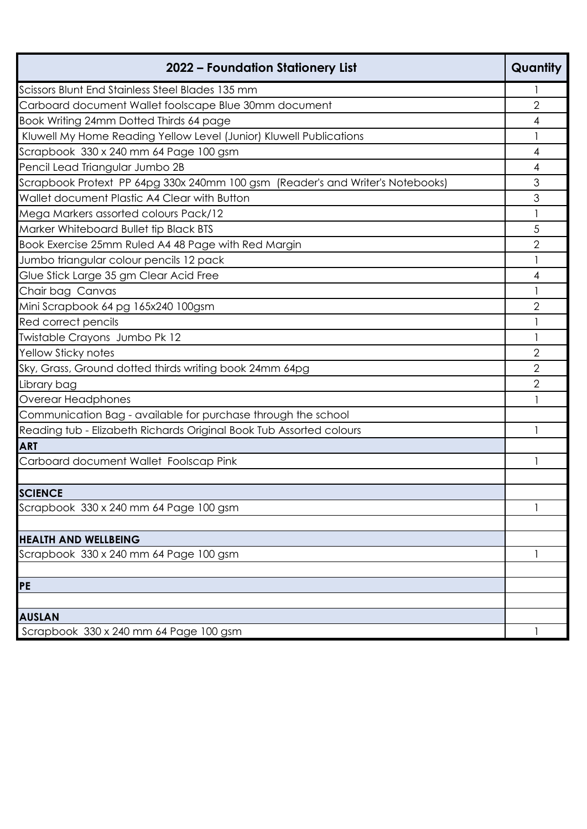| 2022 – Foundation Stationery List                                              | Quantity       |
|--------------------------------------------------------------------------------|----------------|
| Scissors Blunt End Stainless Steel Blades 135 mm                               |                |
| Carboard document Wallet foolscape Blue 30mm document                          | $\overline{2}$ |
| Book Writing 24mm Dotted Thirds 64 page                                        | 4              |
| Kluwell My Home Reading Yellow Level (Junior) Kluwell Publications             | 1              |
| Scrapbook 330 x 240 mm 64 Page 100 gsm                                         | 4              |
| Pencil Lead Triangular Jumbo 2B                                                | 4              |
| Scrapbook Protext PP 64pg 330x 240mm 100 gsm (Reader's and Writer's Notebooks) | 3              |
| Wallet document Plastic A4 Clear with Button                                   | 3              |
| Mega Markers assorted colours Pack/12                                          |                |
| Marker Whiteboard Bullet tip Black BTS                                         | 5              |
| Book Exercise 25mm Ruled A4 48 Page with Red Margin                            | $\overline{2}$ |
| Jumbo triangular colour pencils 12 pack                                        | 1              |
| Glue Stick Large 35 gm Clear Acid Free                                         | 4              |
| Chair bag Canvas                                                               |                |
| Mini Scrapbook 64 pg 165x240 100gsm                                            | 2              |
| Red correct pencils                                                            |                |
| Twistable Crayons Jumbo Pk 12                                                  |                |
| <b>Yellow Sticky notes</b>                                                     | $\overline{2}$ |
| Sky, Grass, Ground dotted thirds writing book 24mm 64pg                        | 2              |
| Library bag                                                                    | $\overline{2}$ |
| Overear Headphones                                                             |                |
| Communication Bag - available for purchase through the school                  |                |
| Reading tub - Elizabeth Richards Original Book Tub Assorted colours            | 1              |
| <b>ART</b>                                                                     |                |
| Carboard document Wallet Foolscap Pink                                         | 1              |
|                                                                                |                |
| <b>SCIENCE</b>                                                                 |                |
| Scrapbook 330 x 240 mm 64 Page 100 gsm                                         |                |
|                                                                                |                |
| <b>HEALTH AND WELLBEING</b>                                                    |                |
| Scrapbook 330 x 240 mm 64 Page 100 gsm                                         |                |
|                                                                                |                |
| <b>PE</b>                                                                      |                |
|                                                                                |                |
| <b>AUSLAN</b>                                                                  |                |
| Scrapbook 330 x 240 mm 64 Page 100 gsm                                         |                |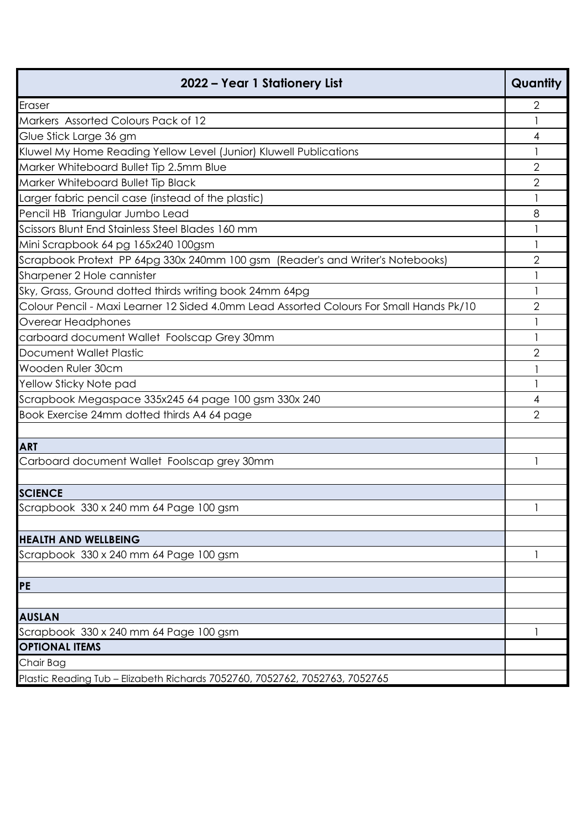| 2022 – Year 1 Stationery List                                                           | Quantity       |
|-----------------------------------------------------------------------------------------|----------------|
| Eraser                                                                                  | $\overline{2}$ |
| Markers Assorted Colours Pack of 12                                                     |                |
| Glue Stick Large 36 gm                                                                  | 4              |
| Kluwel My Home Reading Yellow Level (Junior) Kluwell Publications                       |                |
| Marker Whiteboard Bullet Tip 2.5mm Blue                                                 | $\overline{2}$ |
| Marker Whiteboard Bullet Tip Black                                                      | $\overline{2}$ |
| Larger fabric pencil case (instead of the plastic)                                      |                |
| Pencil HB Triangular Jumbo Lead                                                         | 8              |
| Scissors Blunt End Stainless Steel Blades 160 mm                                        |                |
| Mini Scrapbook 64 pg 165x240 100gsm                                                     |                |
| Scrapbook Protext PP 64pg 330x 240mm 100 gsm (Reader's and Writer's Notebooks)          | $\overline{2}$ |
| Sharpener 2 Hole cannister                                                              |                |
| Sky, Grass, Ground dotted thirds writing book 24mm 64pg                                 |                |
| Colour Pencil - Maxi Learner 12 Sided 4.0mm Lead Assorted Colours For Small Hands Pk/10 | $\overline{2}$ |
| Overear Headphones                                                                      |                |
| carboard document Wallet Foolscap Grey 30mm                                             |                |
| Document Wallet Plastic                                                                 | 2              |
| Wooden Ruler 30cm                                                                       |                |
| Yellow Sticky Note pad                                                                  |                |
| Scrapbook Megaspace 335x245 64 page 100 gsm 330x 240                                    | 4              |
| Book Exercise 24mm dotted thirds A4 64 page                                             | $\overline{2}$ |
|                                                                                         |                |
| <b>ART</b>                                                                              |                |
| Carboard document Wallet Foolscap grey 30mm                                             |                |
|                                                                                         |                |
| <b>SCIENCE</b>                                                                          |                |
| Scrapbook 330 x 240 mm 64 Page 100 gsm                                                  | $\mathbf{1}$   |
|                                                                                         |                |
| <b>HEALTH AND WELLBEING</b>                                                             |                |
| Scrapbook 330 x 240 mm 64 Page 100 gsm                                                  |                |
|                                                                                         |                |
| <b>PE</b>                                                                               |                |
|                                                                                         |                |
| <b>AUSLAN</b>                                                                           |                |
| Scrapbook 330 x 240 mm 64 Page 100 gsm                                                  |                |
| <b>OPTIONAL ITEMS</b>                                                                   |                |
| Chair Bag                                                                               |                |
| Plastic Reading Tub – Elizabeth Richards 7052760, 7052762, 7052763, 7052765             |                |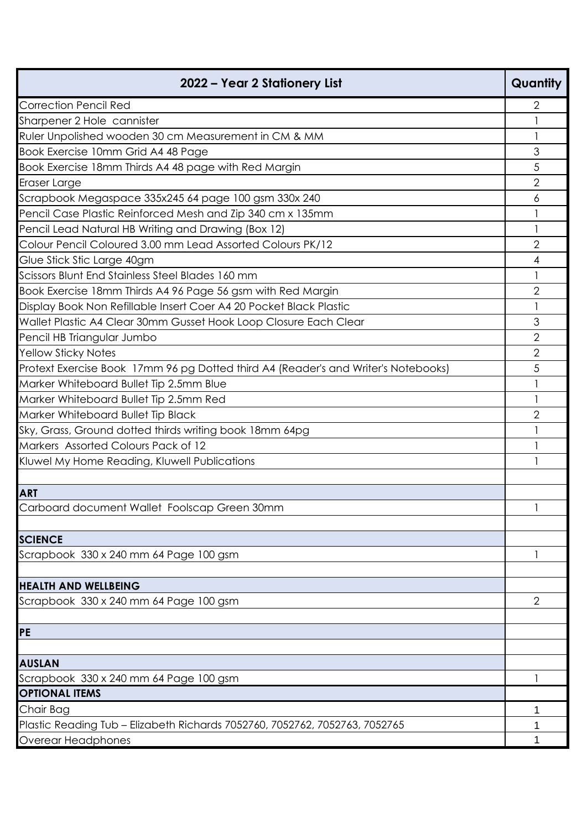| 2022 – Year 2 Stationery List                                                      | Quantity       |
|------------------------------------------------------------------------------------|----------------|
| <b>Correction Pencil Red</b>                                                       | $\overline{2}$ |
| Sharpener 2 Hole cannister                                                         |                |
| Ruler Unpolished wooden 30 cm Measurement in CM & MM                               |                |
| Book Exercise 10mm Grid A4 48 Page                                                 | 3              |
| Book Exercise 18mm Thirds A4 48 page with Red Margin                               | 5              |
| Eraser Large                                                                       | $\overline{2}$ |
| Scrapbook Megaspace 335x245 64 page 100 gsm 330x 240                               | 6              |
| Pencil Case Plastic Reinforced Mesh and Zip 340 cm x 135mm                         |                |
| Pencil Lead Natural HB Writing and Drawing (Box 12)                                | 1              |
| Colour Pencil Coloured 3.00 mm Lead Assorted Colours PK/12                         | $\overline{2}$ |
| Glue Stick Stic Large 40gm                                                         | 4              |
| Scissors Blunt End Stainless Steel Blades 160 mm                                   |                |
| Book Exercise 18mm Thirds A4 96 Page 56 gsm with Red Margin                        | $\overline{2}$ |
| Display Book Non Refillable Insert Coer A4 20 Pocket Black Plastic                 | 1              |
| Wallet Plastic A4 Clear 30mm Gusset Hook Loop Closure Each Clear                   | 3              |
| Pencil HB Triangular Jumbo                                                         | $\overline{2}$ |
| <b>Yellow Sticky Notes</b>                                                         | $\overline{2}$ |
| Protext Exercise Book 17mm 96 pg Dotted third A4 (Reader's and Writer's Notebooks) | 5              |
| Marker Whiteboard Bullet Tip 2.5mm Blue                                            | 1              |
| Marker Whiteboard Bullet Tip 2.5mm Red                                             | 1              |
| Marker Whiteboard Bullet Tip Black                                                 | $\overline{2}$ |
| Sky, Grass, Ground dotted thirds writing book 18mm 64pg                            | 1              |
| Markers Assorted Colours Pack of 12                                                |                |
| Kluwel My Home Reading, Kluwell Publications                                       |                |
|                                                                                    |                |
| <b>ART</b>                                                                         |                |
| Carboard document Wallet Foolscap Green 30mm                                       | $\mathbf{1}$   |
|                                                                                    |                |
| <b>SCIENCE</b>                                                                     |                |
| Scrapbook 330 x 240 mm 64 Page 100 gsm                                             | 1              |
|                                                                                    |                |
| <b>HEALTH AND WELLBEING</b>                                                        |                |
| Scrapbook 330 x 240 mm 64 Page 100 gsm                                             | $\overline{2}$ |
|                                                                                    |                |
| <b>PE</b>                                                                          |                |
| <b>AUSLAN</b>                                                                      |                |
| Scrapbook 330 x 240 mm 64 Page 100 gsm                                             | 1              |
| <b>OPTIONAL ITEMS</b>                                                              |                |
| Chair Bag                                                                          | 1              |
| Plastic Reading Tub - Elizabeth Richards 7052760, 7052762, 7052763, 7052765        | 1              |
| Overear Headphones                                                                 |                |
|                                                                                    |                |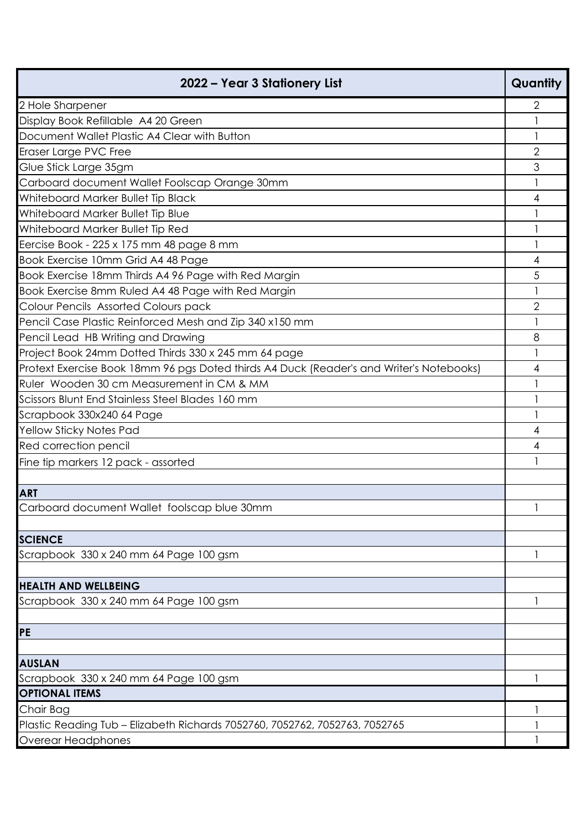| 2022 – Year 3 Stationery List                                                            | Quantity       |
|------------------------------------------------------------------------------------------|----------------|
| 2 Hole Sharpener                                                                         | 2              |
| Display Book Refillable A4 20 Green                                                      |                |
| Document Wallet Plastic A4 Clear with Button                                             |                |
| Eraser Large PVC Free                                                                    | $\overline{2}$ |
| Glue Stick Large 35gm                                                                    | 3              |
| Carboard document Wallet Foolscap Orange 30mm                                            |                |
| Whiteboard Marker Bullet Tip Black                                                       | 4              |
| Whiteboard Marker Bullet Tip Blue                                                        | 1              |
| Whiteboard Marker Bullet Tip Red                                                         |                |
| Eercise Book - 225 x 175 mm 48 page 8 mm                                                 | 1              |
| Book Exercise 10mm Grid A4 48 Page                                                       | 4              |
| Book Exercise 18mm Thirds A4 96 Page with Red Margin                                     | 5              |
| Book Exercise 8mm Ruled A4 48 Page with Red Margin                                       |                |
| Colour Pencils Assorted Colours pack                                                     | $\mathbf{2}$   |
| Pencil Case Plastic Reinforced Mesh and Zip 340 x150 mm                                  | 1              |
| Pencil Lead HB Writing and Drawing                                                       | 8              |
| Project Book 24mm Dotted Thirds 330 x 245 mm 64 page                                     |                |
| Protext Exercise Book 18mm 96 pgs Doted thirds A4 Duck (Reader's and Writer's Notebooks) | 4              |
| Ruler Wooden 30 cm Measurement in CM & MM                                                | 1              |
| Scissors Blunt End Stainless Steel Blades 160 mm                                         | 1              |
| Scrapbook 330x240 64 Page                                                                | 1              |
| Yellow Sticky Notes Pad                                                                  | 4              |
| Red correction pencil                                                                    | 4              |
| Fine tip markers 12 pack - assorted                                                      |                |
|                                                                                          |                |
| <b>ART</b>                                                                               |                |
| Carboard document Wallet foolscap blue 30mm                                              |                |
|                                                                                          |                |
| <b>SCIENCE</b>                                                                           |                |
| Scrapbook 330 x 240 mm 64 Page 100 gsm                                                   |                |
|                                                                                          |                |
| <b>HEALTH AND WELLBEING</b>                                                              |                |
| Scrapbook 330 x 240 mm 64 Page 100 gsm                                                   | 1              |
| PE                                                                                       |                |
| <b>AUSLAN</b>                                                                            |                |
| Scrapbook 330 x 240 mm 64 Page 100 gsm                                                   |                |
| <b>OPTIONAL ITEMS</b>                                                                    |                |
| Chair Bag                                                                                |                |
| Plastic Reading Tub - Elizabeth Richards 7052760, 7052762, 7052763, 7052765              |                |
| Overear Headphones                                                                       |                |
|                                                                                          |                |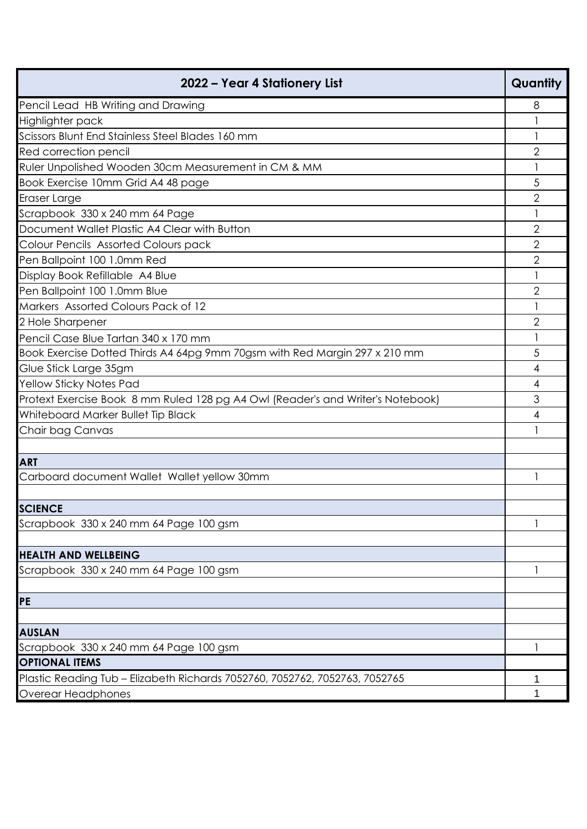| 2022 - Year 4 Stationery List                                                   | Quantity       |
|---------------------------------------------------------------------------------|----------------|
| Pencil Lead HB Writing and Drawing                                              | 8              |
| Highlighter pack                                                                |                |
| Scissors Blunt End Stainless Steel Blades 160 mm                                |                |
| Red correction pencil                                                           | $\overline{2}$ |
| Ruler Unpolished Wooden 30cm Measurement in CM & MM                             | 1              |
| Book Exercise 10mm Grid A4 48 page                                              | 5              |
| Eraser Large                                                                    | 2              |
| Scrapbook 330 x 240 mm 64 Page                                                  |                |
| Document Wallet Plastic A4 Clear with Button                                    | $\overline{2}$ |
| Colour Pencils Assorted Colours pack                                            | 2              |
| Pen Ballpoint 100 1.0mm Red                                                     | $\overline{2}$ |
| Display Book Refillable A4 Blue                                                 |                |
| Pen Ballpoint 100 1.0mm Blue                                                    | $\overline{2}$ |
| Markers Assorted Colours Pack of 12                                             |                |
| 2 Hole Sharpener                                                                | $\overline{2}$ |
| Pencil Case Blue Tartan 340 x 170 mm                                            |                |
| Book Exercise Dotted Thirds A4 64pg 9mm 70gsm with Red Margin 297 x 210 mm      | 5              |
| Glue Stick Large 35gm                                                           | 4              |
| Yellow Sticky Notes Pad                                                         | 4              |
| Protext Exercise Book 8 mm Ruled 128 pg A4 Owl (Reader's and Writer's Notebook) | 3              |
| Whiteboard Marker Bullet Tip Black                                              | 4              |
| Chair bag Canvas                                                                |                |
|                                                                                 |                |
| <b>ART</b>                                                                      |                |
| Carboard document Wallet Wallet yellow 30mm                                     |                |
|                                                                                 |                |
| <b>SCIENCE</b>                                                                  |                |
| Scrapbook 330 x 240 mm 64 Page 100 gsm                                          |                |
|                                                                                 |                |
| <b>HEALTH AND WELLBEING</b>                                                     |                |
| Scrapbook 330 x 240 mm 64 Page 100 gsm                                          |                |
|                                                                                 |                |
| PE                                                                              |                |
|                                                                                 |                |
| <b>AUSLAN</b>                                                                   |                |
| Scrapbook 330 x 240 mm 64 Page 100 gsm                                          |                |
| <b>OPTIONAL ITEMS</b>                                                           |                |
| Plastic Reading Tub - Elizabeth Richards 7052760, 7052762, 7052763, 7052765     | 1              |
| Overear Headphones                                                              | 1              |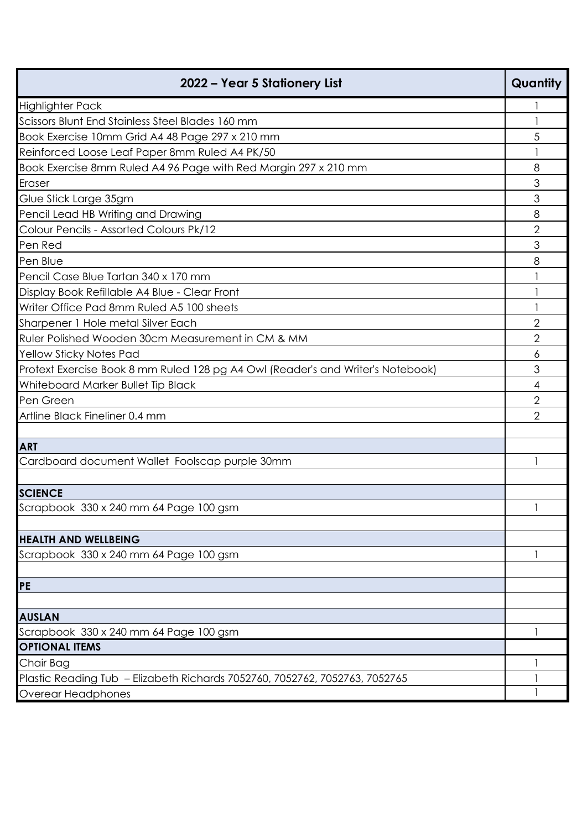| 2022 – Year 5 Stationery List                                                   | Quantity       |
|---------------------------------------------------------------------------------|----------------|
| <b>Highlighter Pack</b>                                                         |                |
| Scissors Blunt End Stainless Steel Blades 160 mm                                |                |
| Book Exercise 10mm Grid A4 48 Page 297 x 210 mm                                 | 5              |
| Reinforced Loose Leaf Paper 8mm Ruled A4 PK/50                                  |                |
| Book Exercise 8mm Ruled A4 96 Page with Red Margin 297 x 210 mm                 | 8              |
| Eraser                                                                          | 3              |
| Glue Stick Large 35gm                                                           | 3              |
| Pencil Lead HB Writing and Drawing                                              | 8              |
| Colour Pencils - Assorted Colours Pk/12                                         | $\overline{2}$ |
| Pen Red                                                                         | 3              |
| Pen Blue                                                                        | 8              |
| Pencil Case Blue Tartan 340 x 170 mm                                            |                |
| Display Book Refillable A4 Blue - Clear Front                                   |                |
| Writer Office Pad 8mm Ruled A5 100 sheets                                       |                |
| Sharpener 1 Hole metal Silver Each                                              | 2              |
| Ruler Polished Wooden 30cm Measurement in CM & MM                               | $\mathbf{2}$   |
| Yellow Sticky Notes Pad                                                         | 6              |
| Protext Exercise Book 8 mm Ruled 128 pg A4 Owl (Reader's and Writer's Notebook) | 3              |
| Whiteboard Marker Bullet Tip Black                                              | 4              |
| Pen Green                                                                       | $\overline{2}$ |
| Artline Black Fineliner 0.4 mm                                                  | $\overline{2}$ |
|                                                                                 |                |
| <b>ART</b>                                                                      |                |
| Cardboard document Wallet Foolscap purple 30mm                                  |                |
|                                                                                 |                |
| <b>SCIENCE</b>                                                                  |                |
| Scrapbook 330 x 240 mm 64 Page 100 gsm                                          | $\mathbf{1}$   |
|                                                                                 |                |
| <b>HEALTH AND WELLBEING</b>                                                     |                |
| Scrapbook 330 x 240 mm 64 Page 100 gsm                                          |                |
| PE                                                                              |                |
|                                                                                 |                |
| <b>AUSLAN</b>                                                                   |                |
| Scrapbook 330 x 240 mm 64 Page 100 gsm                                          |                |
| <b>OPTIONAL ITEMS</b>                                                           |                |
| Chair Bag                                                                       |                |
| Plastic Reading Tub - Elizabeth Richards 7052760, 7052762, 7052763, 7052765     |                |
| Overear Headphones                                                              |                |